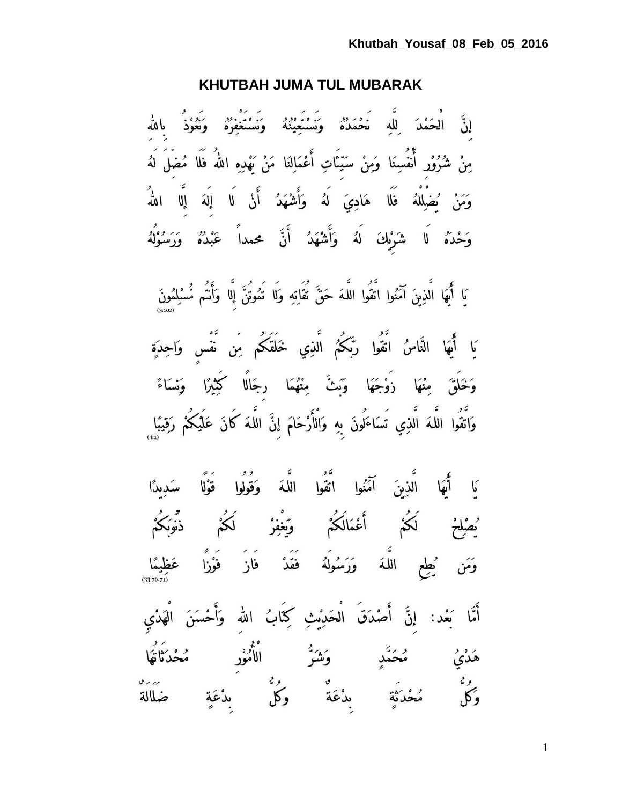### **KHUTBAH JUMA TUL MUBARAK**

إِنَّ الْحَمْدَ لِلَّهِ ۖ نَحْمَدُهُ ۚ وَسُنُعَيْنُهُ ۚ وَسَنْعَفِرُهُ ۚ وَهُوْدُ ۚ بِاللَّهِ مِنْ شُرُوْرٍ أَنْفُسِنَا وَمِنْ سَيِّئَاتِ أَعْمَالِنَا مَنْ يَهْدِهِ اللَّهُ فَلَا مُضَلِّ لَهُ .<br>وَمَنْ يُضْلِلْهُ فَلَا هَادِيَ لَهُ وَأَشْهَدُ أَنْ لَا إِلَهَ إِلَّا اللَّه<sup>ِ</sup> وَحْدَهُ لَا شَرْبِكَ لَهُ وَأَشْهَدُ أَنَّ محمداً عَبْدُهُ وَرَسُوْلُهُ

يَا أَيُّهَا الَّذِينَ آمَنُوا اتَّقُوا اللَّهَ حَقَّ تُقَاتِهِ وَلَا تَمُوتُنَّ إِلَّا وَأَتُم مُّسْلِمُونَ يَا أَيُهَا النَّاسُ اتَّقُوا رَبَّكُمُ الَّذِي خَلَقَكُم مِّن نَّفْسٍ وَاحِدَةٍ

وَخَلَقَ مِنْهَا زَوْجَهَا وَبِثَّ مِنْهُمَا رِجَالًا كَيْبَرًا وَنِسَاءً وَاتَّقُوا اللَّهَ الَّذِي تَسَاءَلُونَ بِهِ وَالْأَرْحَامَ إِنَّ اللَّهَ كَانَ عَلَيْكُمْ رَقِيبًا ٍ

.<br>كَا أَيُّهَا الَّذِينَ آمَنُوا اتَّقُوا اللَّهَ وَقُولُوا قَوْلًا سَدِيدًا ُيصْلِحْ لَكُمْ أَعْمَالَكُمْ وَيَغْفِرْ لَكُمْ ذَّنُوَكُمْ وَمَن يُطِعِ اللَّهَ وَرَسُولَهُ فَقَدْ فَازَ فَوْزًا عَظِيمًا أَمَّا بَعْد: إنَّ أَصْدَقَ الْحَدِيْثِ كِتَابُ الله وَأَحْسَنَ الْهَدْي هَدْيُ مُحَمَّدٍ وَشَرَّ الْأُمُوْرِ مُحْدَثَاتَهَا ر،<br>وَكُلّ مُحْدَثَةٍ بِدْعَةٍ وَكُلّ بِدْعَةٍ ضَلَالَةٍ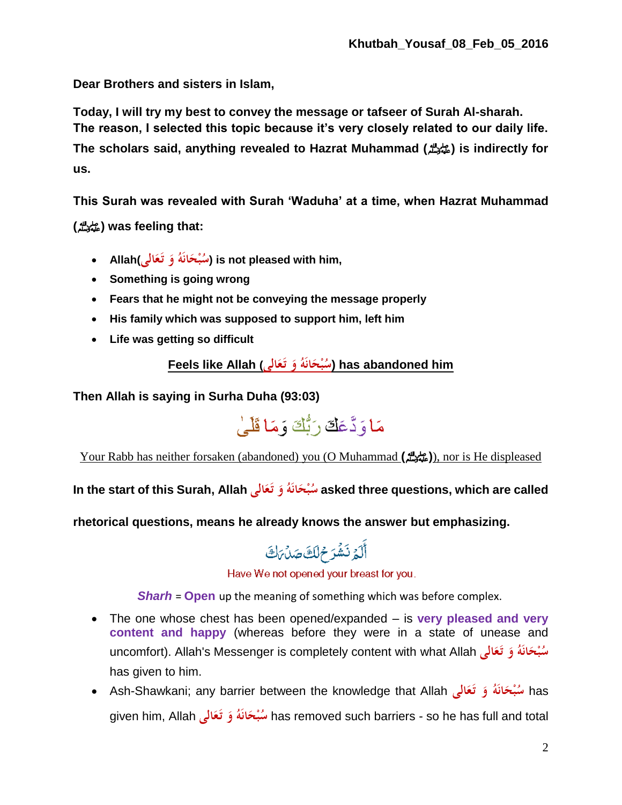**Dear Brothers and sisters in Islam,**

**Today, I will try my best to convey the message or tafseer of Surah Al-sharah. The reason, I selected this topic because it's very closely related to our daily life. The scholars said, anything revealed to Hazrat Muhammad (**صلى الله عليه وسلم **(is indirectly for us.**

**This Surah was revealed with Surah 'Waduha' at a time, when Hazrat Muhammad**

**(**صلى الله عليه وسلم **(was feeling that:**

- **Allah(الى َع ت ُ و َه ان ْح ب ُ س (is not pleased with him, َ َ َ**
- **Something is going wrong**
- **Fears that he might not be conveying the message properly**
- **His family which was supposed to support him, left him**
- **Life was getting so difficult**

has abandoned him (سُبْحَانَهُ وَ تَعَالٰي) has abandoned him **َ َ َ**

**Then Allah is saying in Surha Duha (93:03)**



Your Rabb has neither forsaken (abandoned) you (O Muhammad **(**صلى الله عليه وسلم(**(**, nor is He displeased

**In the start of this Surah, Allah الى َع ت ُ و َه ان ْح ب ُ س asked three questions, which are called َ َ َ**

**rhetorical questions, means he already knows the answer but emphasizing.**

أَلَمُ نَشْرَ مُ لَكَ صَلْ مَكْ

Have We not opened your breast for you.

*Sharh* = **Open** up the meaning of something which was before complex.

- The one whose chest has been opened/expanded is **very pleased and very content and happy** (whereas before they were in a state of unease and uncomfort). Allah's Messenger is completely content with what Allah **الى َع ت ُ و َه ان ْح ب ُ س َ َ َ** has given to him.
- Ash-Shawkani; any barrier between the knowledge that Allah **الى َع ت ُ و َه ان ْح ب ُ** has **س َ َ َ** given him, Allah **الى َع ت ُ و َه ان ْح ب ُ س** has removed such barriers - so he has full and total **َ َ َ**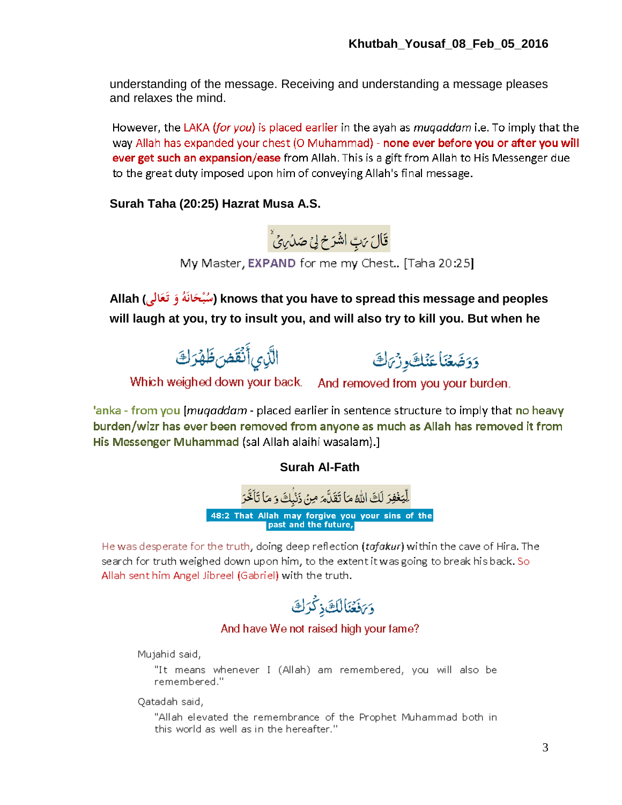understanding of the message. Receiving and understanding a message pleases and relaxes the mind.

However, the LAKA (for you) is placed earlier in the ayah as *mugaddam* i.e. To imply that the way Allah has expanded your chest (O Muhammad) - none ever before you or after you will ever get such an expansion/ease from Allah. This is a gift from Allah to His Messenger due to the great duty imposed upon him of conveying Allah's final message.

**Surah Taha (20:25) Hazrat Musa A.S.** 



My Master, EXPAND for me my Chest.. [Taha 20:25]

**الى) Allah َع ت ُ و َه ان ْح ب ُ س (knows that you have to spread this message and peoples َ َ َ will laugh at you, try to insult you, and will also try to kill you. But when he** 



وَوَضَعْنَا عَنْكَ وِزْيَاكَ

Which weighed down your back. And removed from you your burden.

'anka - from you [*muqaddam* - placed earlier in sentence structure to imply that no heavy burden/wizr has ever been removed from anyone as much as Allah has removed it from His Messenger Muhammad (sal Allah alaihi wasalam).]

**Surah Al-Fath**



He was desperate for the truth, doing deep reflection (tafakur) within the cave of Hira. The search for truth weighed down upon him, to the extent it was going to break his back. So Allah sent him Angel Jibreel (Gabriel) with the truth.

وَكَفَعَنَالُكَ ذِكْرَكَ

### And have We not raised high your fame?

Mujahid said,

"It means whenever I (Allah) am remembered, you will also be remembered."

Qatadah said,

"Allah elevated the remembrance of the Prophet Muhammad both in this world as well as in the hereafter."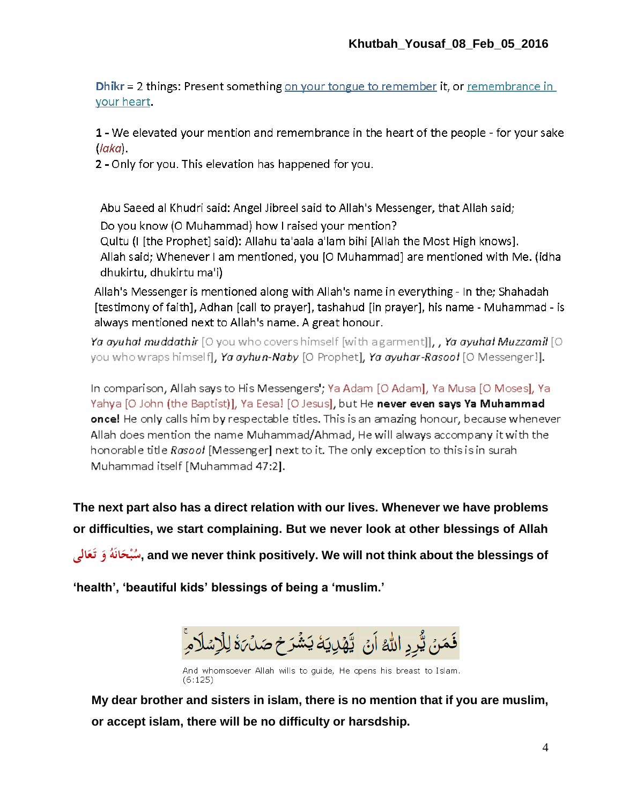Dhikr = 2 things: Present something on your tongue to remember it, or remembrance in your heart.

1 - We elevated your mention and remembrance in the heart of the people - for your sake  $( laka)$ .

2 - Only for you. This elevation has happened for you.

Abu Saeed al Khudri said: Angel Jibreel said to Allah's Messenger, that Allah said; Do you know (O Muhammad) how I raised your mention? Quitu (I [the Prophet] said): Allahu ta'aala a'lam bihi [Allah the Most High knows]. Allah said; Whenever I am mentioned, you [O Muhammad] are mentioned with Me. (idha dhukirtu, dhukirtu ma'i)

Allah's Messenger is mentioned along with Allah's name in everything - In the: Shahadah [testimony of faith], Adhan [call to prayer], tashahud [in prayer], his name - Muhammad - is always mentioned next to Allah's name. A great honour.

**Ya ayuhal muddathir** [O you who covers himself [with agarment]**], , Ya ayuhal Muzzamil** [O ] you who wraps himself**], Ya ayhun-Naby** [O Prophet], Ya ayuhar-Rasool [O Messenger!].

In comparison, Allah says to His Messengers'; Ya Adam [O Adam], Ya Musa [O Moses], Ya Yahya [O John (the Baptist)], Ya Eesa! [O Jesus], but He never even says Ya Muhammad once! He only calls him by respectable titles. This is an amazing honour, because whenever Allah does mention the name Muhammad/Ahmad, He will always accompany it with the honorable title Rasool [Messenger] next to it. The only exception to this is in surah Muhammad itself [Muhammad 47:2].

**The next part also has a direct relation with our lives. Whenever we have problems or difficulties, we start complaining. But we never look at other blessings of Allah**

**الى َع ت ُ و َه ان ْح ب ُ س, and we never think positively. We will not think about the blessings of َ َ َ**

**'health', 'beautiful kids' blessings of being a 'muslim.'**



And whomsoever Allah wills to guide, He opens his breast to Islam.  $(6:125)$ 

**My dear brother and sisters in islam, there is no mention that if you are muslim, or accept islam, there will be no difficulty or harsdship.**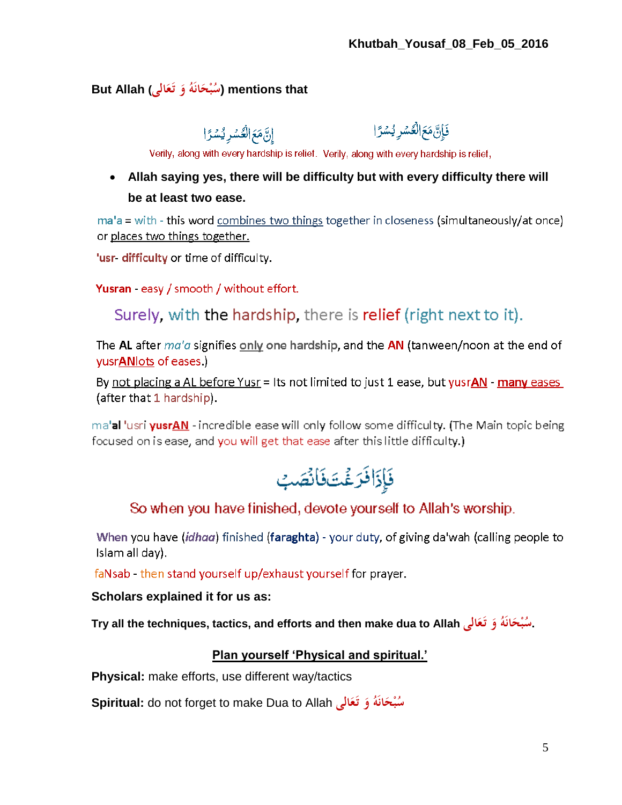#### **But Allah (الى َع ت ُ و َه ان ْح ب ُ س (mentions that َ َ َ**

إِنَّ مَعَ الْعُسْرِ يُسْرًا

فَإِنَّ مَعَ الْعُسْرِ يُسْرًا

Verily, along with every hardship is relief. Verily, along with every hardship is relief,

## **Allah saying yes, there will be difficulty but with every difficulty there will be at least two ease.**

 $ma'a = with - this word combines two things together in closeness (simultaneous/vat once)$ or places two things together.

'usr- difficulty or time of difficulty.

Yusran - easy / smooth / without effort.

Surely, with the hardship, there is relief (right next to it).

The AL after  $ma'a$  signifies only one hardship, and the AN (tanween/noon at the end of yusrANlots of eases.)

By not placing a AL before Yusr = Its not limited to just 1 ease, but yusrAN - many eases (after that 1 hardship).

ma'al 'usri yusrAN - incredible ease will only follow some difficulty. (The Main topic being focused on is ease, and you will get that ease after this little difficulty.)



### So when you have finished, devote yourself to Allah's worship.

When you have (idhaa) finished (faraghta) - your duty, of giving da'wah (calling people to Islam all day).

faNsab - then stand yourself up/exhaust yourself for prayer.

### **Scholars explained it for us as:**

**Try all the techniques, tactics, and efforts and then make dua to Allah الى َع ت ُ و َه ان ْح ب ُ .س َ َ َ**

### **Plan yourself 'Physical and spiritual.'**

**Physical:** make efforts, use different way/tactics

**Spiritual:** do not forget to make Dua to Allah **الى َع ت ُ و َه ان ْح ب ُ سَ َ َ**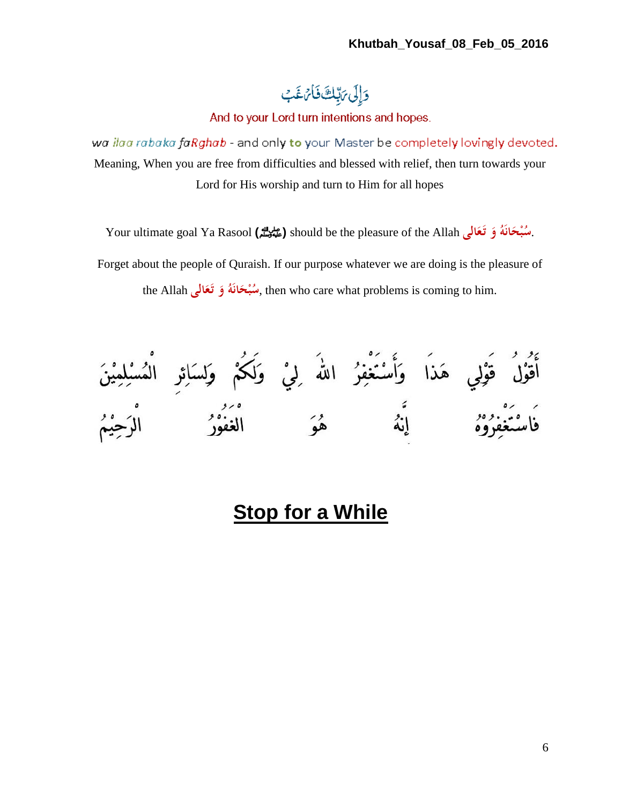# وَإِلَى مَ بِّلِكَ فَأَتَ غَبِ

And to your Lord turn intentions and hopes.

wa ilaa rabaka faRghab - and only to your Master be completely lovingly devoted. Meaning, When you are free from difficulties and blessed with relief, then turn towards your Lord for His worship and turn to Him for all hopes

Your ultimate goal Ya Rasool **(**صلى الله عليه وسلم **(**should be the pleasure of the Allah **الى َع ت ُ و َه ان ْح ب ُ** .**س َ َ َ**

Forget about the people of Quraish. If our purpose whatever we are doing is the pleasure of the Allah سُبْحَانَهُ وَ تَعَالَى, then who care what problems is coming to him. **َ َ َ**

# **Stop for a While**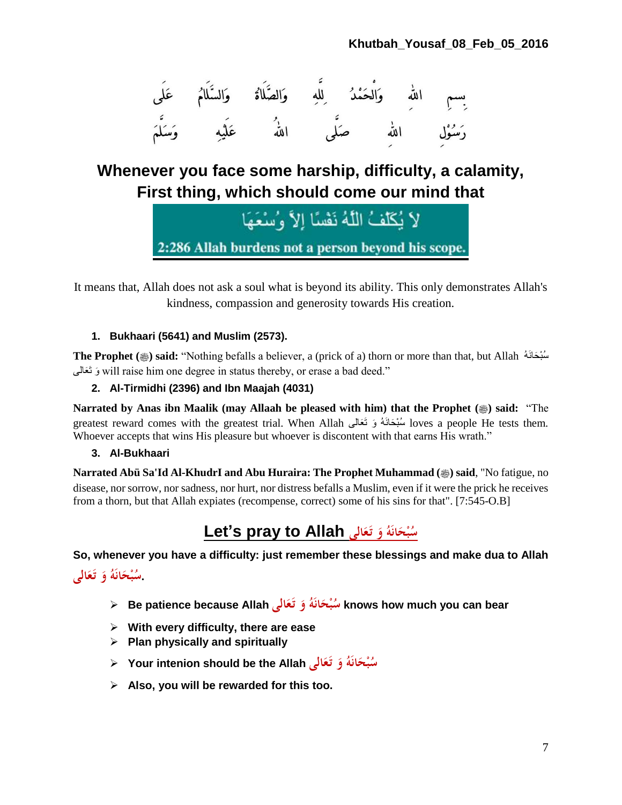

## **Whenever you face some harship, difficulty, a calamity, First thing, which should come our mind that**

لاَ يُكَلِّفُ اللَّهُ نَفْسًا إِلاَّ وُسْعَهَا 2:286 Allah burdens not a person beyond his scope.

It means that, Allah does not ask a soul what is beyond its ability. This only demonstrates Allah's kindness, compassion and generosity towards His creation.

### **1. Bukhaari (5641) and Muslim (2573).**

**The Prophet (
i) said:** "Nothing befalls a believer, a (prick of a) thorn or more than that, but Allah  $\phi$ َعالى َت وَ will raise him one degree in status thereby, or erase a bad deed."

### **2. Al-Tirmidhi (2396) and Ibn Maajah (4031)**

**Narrated by Anas ibn Maalik (may Allaah be pleased with him) that the Prophet (** $\circledast$ **) said: "The** greatest reward comes with the greatest trial. When Allah عالىَ َو تَ ُهَحانَ بْسُ loves a people He tests them. Whoever accepts that wins His pleasure but whoever is discontent with that earns His wrath."

### **3. Al-Bukhaari**

**Narrated Abü Sa'Id Al-KhudrI and Abu Huraira: The Prophet Muhammad (...) said, "No fatigue, no** disease, nor sorrow, nor sadness, nor hurt, nor distress befalls a Muslim, even if it were the prick he receives from a thorn, but that Allah expiates (recompense, correct) some of his sins for that". [7:545-O.B]

#### **Let's pray to Allah الى َع ت ُ و َه ان ْح ب ُ س َ َ َ**

**So, whenever you have a difficulty: just remember these blessings and make dua to Allah** ـْمُبْحَانَهُ وَ تَعَالَى **َ َ َ**

- **Be patience because Allah الى َع ت ُ و َه ان ْح ب ُ س knows how much you can bear َ َ َ**
- **With every difficulty, there are ease**
- **Plan physically and spiritually**
- **Your intenion should be the Allah الى َع ت ُ و َه ان ْح ب ُ س َ َ َ**
- **Also, you will be rewarded for this too.**